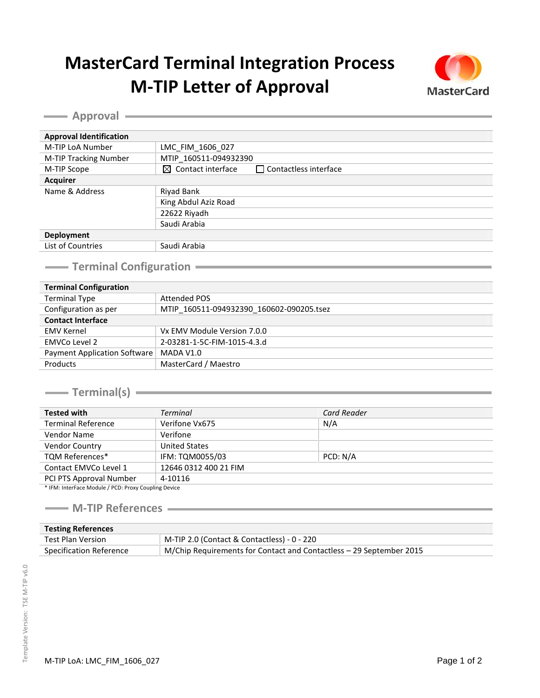## **MasterCard Terminal Integration Process M-TIP Letter of Approval**



**Approval Approval Approval Approval Approval Approval Approval Approval Approval Approval Approval Approval Approval Approval Approval Approval Approval Approval Approval Approval A** 

| <b>Approval Identification</b> |                                                               |  |
|--------------------------------|---------------------------------------------------------------|--|
| M-TIP LoA Number               | LMC FIM 1606 027                                              |  |
| M-TIP Tracking Number          | MTIP 160511-094932390                                         |  |
| M-TIP Scope                    | $\boxtimes$ Contact interface<br>$\Box$ Contactless interface |  |
| <b>Acquirer</b>                |                                                               |  |
| Name & Address                 | Riyad Bank                                                    |  |
|                                | King Abdul Aziz Road                                          |  |
|                                | 22622 Riyadh                                                  |  |
|                                | Saudi Arabia                                                  |  |
| Deployment                     |                                                               |  |
| List of Countries              | Saudi Arabia                                                  |  |
|                                |                                                               |  |

## **Terminal Configuration**<br> **Terminal Configuration**

| <b>Terminal Configuration</b>       |                                          |  |
|-------------------------------------|------------------------------------------|--|
| <b>Terminal Type</b>                | <b>Attended POS</b>                      |  |
| Configuration as per                | MTIP 160511-094932390 160602-090205.tsez |  |
| <b>Contact Interface</b>            |                                          |  |
| <b>EMV Kernel</b>                   | Vx EMV Module Version 7.0.0              |  |
| EMVCo Level 2                       | 2-03281-1-5C-FIM-1015-4.3.d              |  |
| <b>Payment Application Software</b> | MADA V1.0                                |  |
| Products                            | MasterCard / Maestro                     |  |

**Terminal(s)** 2008 2009 2012 2022 2023 2024 2022 2022 2023 2024 2022 2023 2024 2022 2023 2024 2022 2023 2024 2025 2026 2027 2028 2029 2022 2023 2024 2025 2027 2028 2027 2027 2028 2029 2021 2022 2023 2029 2022 2023 2029 202

| <b>Tested with</b>                                  | <b>Terminal</b>       | Card Reader |  |
|-----------------------------------------------------|-----------------------|-------------|--|
| <b>Terminal Reference</b>                           | Verifone Vx675        | N/A         |  |
| <b>Vendor Name</b>                                  | Verifone              |             |  |
| <b>Vendor Country</b>                               | <b>United States</b>  |             |  |
| <b>TQM References*</b>                              | IFM: TQM0055/03       | PCD: N/A    |  |
| Contact EMVCo Level 1                               | 12646 0312 400 21 FIM |             |  |
| PCI PTS Approval Number                             | 4-10116               |             |  |
| * IEM: InterFace Module / BCD: Brow Coupling Dovice |                       |             |  |

IFM: InterFace Module / PCD: Proxy Coupling Device

## **M-TIP References**

| <b>Testing References</b> |                                                                     |
|---------------------------|---------------------------------------------------------------------|
| Test Plan Version         | M-TIP 2.0 (Contact & Contactless) - 0 - 220                         |
| Specification Reference   | M/Chip Requirements for Contact and Contactless – 29 September 2015 |